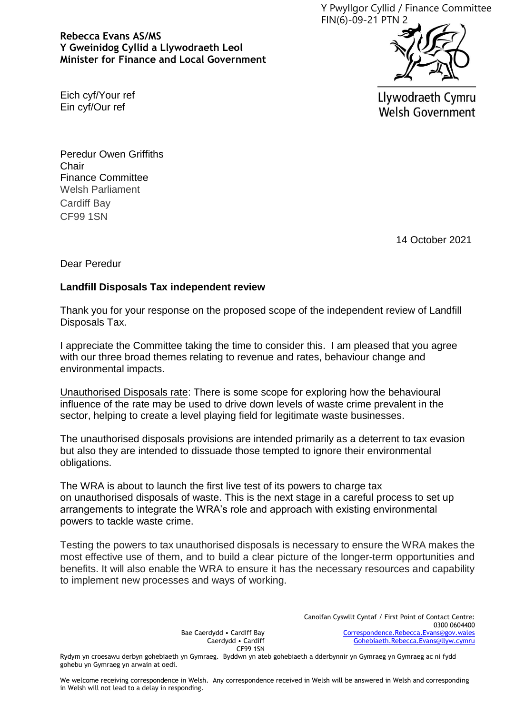Y Pwyllgor Cyllid / Finance Committee FIN(6)-09-21 PTN 2

**Rebecca Evans AS/MS Y Gweinidog Cyllid a Llywodraeth Leol Minister for Finance and Local Government**



Eich cyf/Your ref Ein cyf/Our ref

Llywodraeth Cymru **Welsh Government** 

Peredur Owen Griffiths **Chair** Finance Committee Welsh Parliament Cardiff Bay CF99 1SN

14 October 2021

Dear Peredur

## **Landfill Disposals Tax independent review**

Thank you for your response on the proposed scope of the independent review of Landfill Disposals Tax.

I appreciate the Committee taking the time to consider this. I am pleased that you agree with our three broad themes relating to revenue and rates, behaviour change and environmental impacts.

Unauthorised Disposals rate: There is some scope for exploring how the behavioural influence of the rate may be used to drive down levels of waste crime prevalent in the sector, helping to create a level playing field for legitimate waste businesses.

The unauthorised disposals provisions are intended primarily as a deterrent to tax evasion but also they are intended to dissuade those tempted to ignore their environmental obligations.

The WRA is about to launch the first live test of its powers to charge tax on unauthorised disposals of waste. This is the next stage in a careful process to set up arrangements to integrate the WRA's role and approach with existing environmental powers to tackle waste crime.

Testing the powers to tax unauthorised disposals is necessary to ensure the WRA makes the most effective use of them, and to build a clear picture of the longer-term opportunities and benefits. It will also enable the WRA to ensure it has the necessary resources and capability to implement new processes and ways of working.

> Bae Caerdydd • Cardiff Bay Caerdydd • Cardiff CF99 1SN

Canolfan Cyswllt Cyntaf / First Point of Contact Centre: 0300 0604400 [Correspondence.Rebecca.Evans@gov.wales](mailto:Correspondence.Rebecca.Evans@gov.wales) [Gohebiaeth.Rebecca.Evans@llyw.cymru](mailto:Gohebiaeth.Rebecca.Evans@llyw.cymru)

Rydym yn croesawu derbyn gohebiaeth yn Gymraeg. Byddwn yn ateb gohebiaeth a dderbynnir yn Gymraeg yn Gymraeg ac ni fydd gohebu yn Gymraeg yn arwain at oedi.

We welcome receiving correspondence in Welsh. Any correspondence received in Welsh will be answered in Welsh and corresponding in Welsh will not lead to a delay in responding.